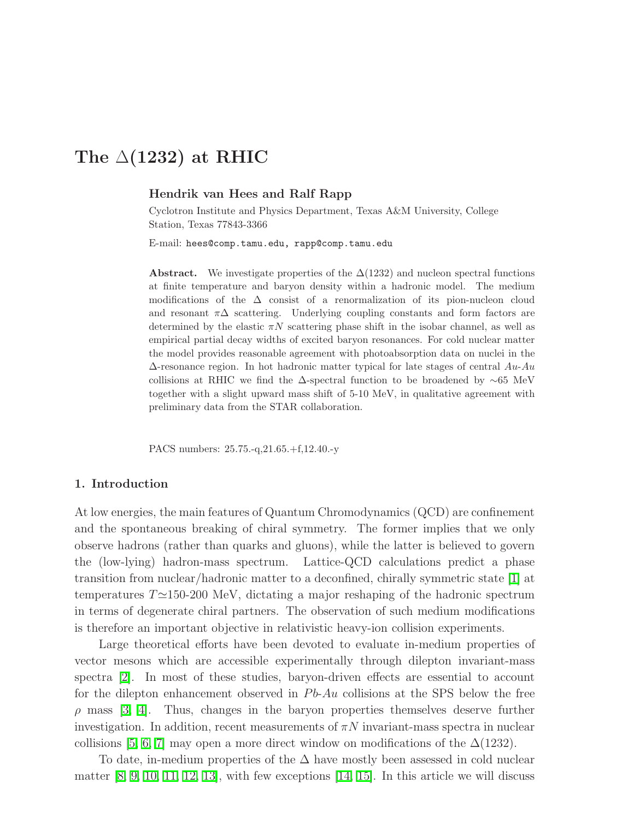# The  $\triangle$ (1232) at RHIC

# Hendrik van Hees and Ralf Rapp

Cyclotron Institute and Physics Department, Texas A&M University, College Station, Texas 77843-3366

E-mail: hees@comp.tamu.edu, rapp@comp.tamu.edu

Abstract. We investigate properties of the  $\Delta(1232)$  and nucleon spectral functions at finite temperature and baryon density within a hadronic model. The medium modifications of the  $\Delta$  consist of a renormalization of its pion-nucleon cloud and resonant  $\pi\Delta$  scattering. Underlying coupling constants and form factors are determined by the elastic  $\pi N$  scattering phase shift in the isobar channel, as well as empirical partial decay widths of excited baryon resonances. For cold nuclear matter the model provides reasonable agreement with photoabsorption data on nuclei in the  $\Delta$ -resonance region. In hot hadronic matter typical for late stages of central  $Au$ - $Au$ collisions at RHIC we find the ∆-spectral function to be broadened by ∼65 MeV together with a slight upward mass shift of 5-10 MeV, in qualitative agreement with preliminary data from the STAR collaboration.

PACS numbers: 25.75.-q,21.65.+f,12.40.-y

#### 1. Introduction

At low energies, the main features of Quantum Chromodynamics (QCD) are confinement and the spontaneous breaking of chiral symmetry. The former implies that we only observe hadrons (rather than quarks and gluons), while the latter is believed to govern the (low-lying) hadron-mass spectrum. Lattice-QCD calculations predict a phase transition from nuclear/hadronic matter to a deconfined, chirally symmetric state [\[1\]](#page-6-0) at temperatures T≃150-200 MeV, dictating a major reshaping of the hadronic spectrum in terms of degenerate chiral partners. The observation of such medium modifications is therefore an important objective in relativistic heavy-ion collision experiments.

Large theoretical efforts have been devoted to evaluate in-medium properties of vector mesons which are accessible experimentally through dilepton invariant-mass spectra [\[2\]](#page-6-1). In most of these studies, baryon-driven effects are essential to account for the dilepton enhancement observed in Pb-Au collisions at the SPS below the free  $\rho$  mass [\[3,](#page-6-2) [4\]](#page-6-3). Thus, changes in the baryon properties themselves deserve further investigation. In addition, recent measurements of  $\pi N$  invariant-mass spectra in nuclear collisions [\[5,](#page-6-4) [6,](#page-6-5) [7\]](#page-6-6) may open a more direct window on modifications of the  $\Delta(1232)$ .

To date, in-medium properties of the  $\Delta$  have mostly been assessed in cold nuclear matter  $[8, 9, 10, 11, 12, 13]$  $[8, 9, 10, 11, 12, 13]$  $[8, 9, 10, 11, 12, 13]$  $[8, 9, 10, 11, 12, 13]$  $[8, 9, 10, 11, 12, 13]$  $[8, 9, 10, 11, 12, 13]$ , with few exceptions  $[14, 15]$  $[14, 15]$ . In this article we will discuss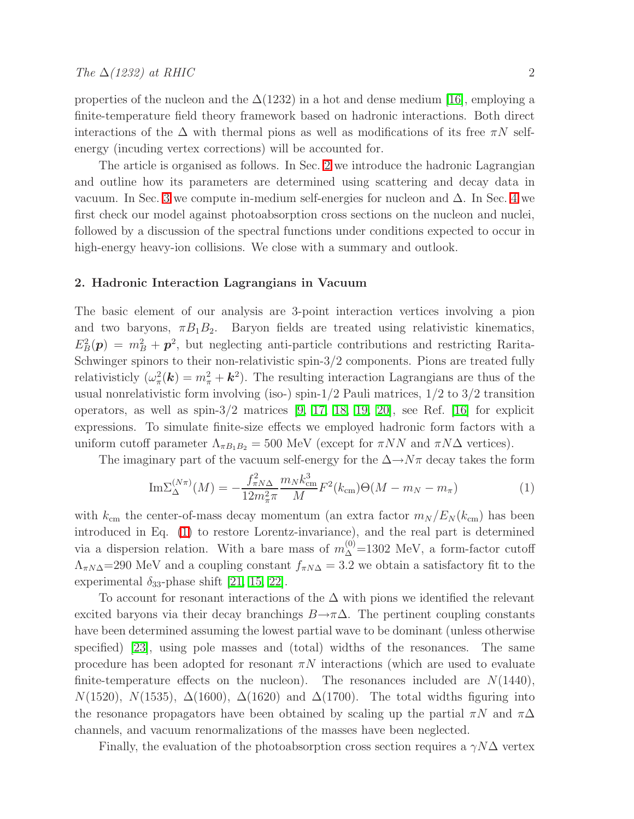properties of the nucleon and the  $\Delta(1232)$  in a hot and dense medium [\[16\]](#page-6-15), employing a finite-temperature field theory framework based on hadronic interactions. Both direct interactions of the  $\Delta$  with thermal pions as well as modifications of its free  $\pi N$  selfenergy (incuding vertex corrections) will be accounted for.

The article is organised as follows. In Sec. [2](#page-1-0) we introduce the hadronic Lagrangian and outline how its parameters are determined using scattering and decay data in vacuum. In Sec. [3](#page-2-0) we compute in-medium self-energies for nucleon and  $\Delta$ . In Sec. [4](#page-3-0) we first check our model against photoabsorption cross sections on the nucleon and nuclei, followed by a discussion of the spectral functions under conditions expected to occur in high-energy heavy-ion collisions. We close with a summary and outlook.

### <span id="page-1-0"></span>2. Hadronic Interaction Lagrangians in Vacuum

The basic element of our analysis are 3-point interaction vertices involving a pion and two baryons,  $\pi B_1 B_2$ . Baryon fields are treated using relativistic kinematics,  $E_B^2(\mathbf{p}) = m_B^2 + \mathbf{p}^2$ , but neglecting anti-particle contributions and restricting Rarita-Schwinger spinors to their non-relativistic spin-3/2 components. Pions are treated fully relativisticly  $(\omega_{\pi}^2(\mathbf{k}) = m_{\pi}^2 + \mathbf{k}^2)$ . The resulting interaction Lagrangians are thus of the usual nonrelativistic form involving (iso-) spin- $1/2$  Pauli matrices,  $1/2$  to  $3/2$  transition operators, as well as spin-3/2 matrices  $[9, 17, 18, 19, 20]$  $[9, 17, 18, 19, 20]$  $[9, 17, 18, 19, 20]$  $[9, 17, 18, 19, 20]$  $[9, 17, 18, 19, 20]$ , see Ref. [\[16\]](#page-6-15) for explicit expressions. To simulate finite-size effects we employed hadronic form factors with a uniform cutoff parameter  $\Lambda_{\pi B_1 B_2} = 500 \text{ MeV}$  (except for  $\pi NN$  and  $\pi N\Delta$  vertices).

<span id="page-1-1"></span>The imaginary part of the vacuum self-energy for the  $\Delta \rightarrow N\pi$  decay takes the form

$$
\mathrm{Im}\Sigma_{\Delta}^{(N\pi)}(M) = -\frac{f_{\pi N\Delta}^2}{12m_{\pi}^2\pi} \frac{m_N k_{\rm cm}^3}{M} F^2(k_{\rm cm}) \Theta(M - m_N - m_{\pi})
$$
(1)

with  $k_{\text{cm}}$  the center-of-mass decay momentum (an extra factor  $m_N / E_N (k_{\text{cm}})$  has been introduced in Eq. [\(1\)](#page-1-1) to restore Lorentz-invariance), and the real part is determined via a dispersion relation. With a bare mass of  $m_{\Delta}^{(0)}$ =1302 MeV, a form-factor cutoff  $\Lambda_{\pi N\Delta}$ =290 MeV and a coupling constant  $f_{\pi N\Delta}$  = 3.2 we obtain a satisfactory fit to the experimental  $\delta_{33}$ -phase shift [\[21,](#page-6-20) [15,](#page-6-14) [22\]](#page-7-0).

To account for resonant interactions of the  $\Delta$  with pions we identified the relevant excited baryons via their decay branchings  $B\rightarrow \pi\Delta$ . The pertinent coupling constants have been determined assuming the lowest partial wave to be dominant (unless otherwise specified) [\[23\]](#page-7-1), using pole masses and (total) widths of the resonances. The same procedure has been adopted for resonant  $\pi N$  interactions (which are used to evaluate finite-temperature effects on the nucleon). The resonances included are  $N(1440)$ ,  $N(1520)$ ,  $N(1535)$ ,  $\Delta(1600)$ ,  $\Delta(1620)$  and  $\Delta(1700)$ . The total widths figuring into the resonance propagators have been obtained by scaling up the partial  $\pi N$  and  $\pi \Delta$ channels, and vacuum renormalizations of the masses have been neglected.

Finally, the evaluation of the photoabsorption cross section requires a  $\gamma N\Delta$  vertex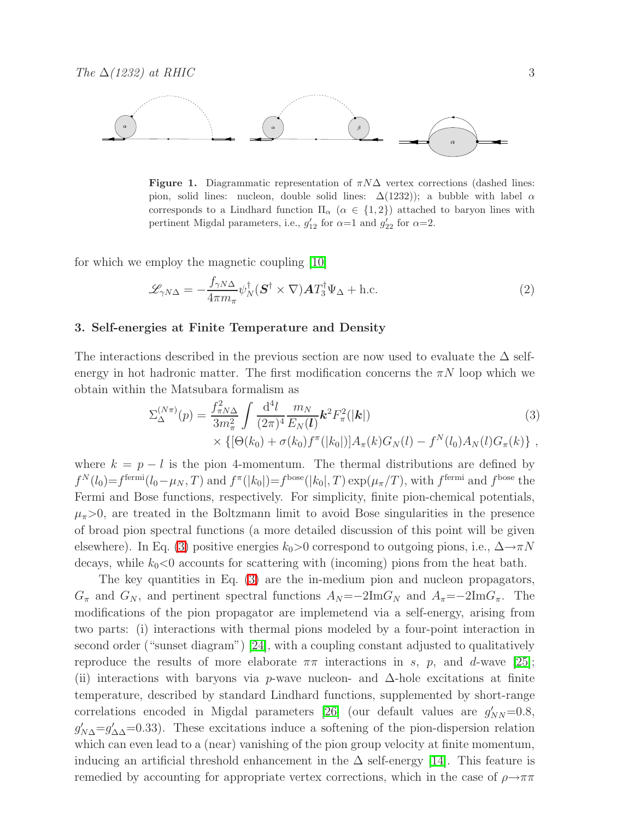

<span id="page-2-2"></span>**Figure 1.** Diagrammatic representation of  $\pi N\Delta$  vertex corrections (dashed lines: pion, solid lines: nucleon, double solid lines:  $\Delta(1232)$ ; a bubble with label  $\alpha$ corresponds to a Lindhard function  $\Pi_{\alpha}$  ( $\alpha \in \{1,2\}$ ) attached to baryon lines with pertinent Migdal parameters, i.e.,  $g'_{12}$  for  $\alpha=1$  and  $g'_{22}$  for  $\alpha=2$ .

<span id="page-2-3"></span>for which we employ the magnetic coupling [\[10\]](#page-6-9)

$$
\mathcal{L}_{\gamma N\Delta} = -\frac{f_{\gamma N\Delta}}{4\pi m_{\pi}} \psi_N^{\dagger} (\mathbf{S}^{\dagger} \times \nabla) \mathbf{A} T_3^{\dagger} \Psi_{\Delta} + \text{h.c.}
$$
\n(2)

#### <span id="page-2-0"></span>3. Self-energies at Finite Temperature and Density

<span id="page-2-1"></span>The interactions described in the previous section are now used to evaluate the  $\Delta$  selfenergy in hot hadronic matter. The first modification concerns the  $\pi N$  loop which we obtain within the Matsubara formalism as

$$
\Sigma_{\Delta}^{(N\pi)}(p) = \frac{f_{\pi N\Delta}^2}{3m_{\pi}^2} \int \frac{\mathrm{d}^4 l}{(2\pi)^4} \frac{m_N}{E_N(l)} \mathbf{k}^2 F_{\pi}^2(|\mathbf{k}|) \times \{ [\Theta(k_0) + \sigma(k_0) f^{\pi}(|k_0|)] A_{\pi}(k) G_N(l) - f^N(l_0) A_N(l) G_{\pi}(k) \},
$$
\n(3)

where  $k = p - l$  is the pion 4-momentum. The thermal distributions are defined by  $f^N(l_0) = f^{\text{fermi}}(l_0 - \mu_N, T)$  and  $f^{\pi}(|k_0|) = f^{\text{bose}}(|k_0|, T) \exp(\mu_{\pi}/T)$ , with  $f^{\text{fermi}}$  and  $f^{\text{bose}}$  the Fermi and Bose functions, respectively. For simplicity, finite pion-chemical potentials,  $\mu_{\pi}>0$ , are treated in the Boltzmann limit to avoid Bose singularities in the presence of broad pion spectral functions (a more detailed discussion of this point will be given elsewhere). In Eq. [\(3\)](#page-2-1) positive energies  $k_0>0$  correspond to outgoing pions, i.e.,  $\Delta \rightarrow \pi N$ decays, while  $k_0 < 0$  accounts for scattering with (incoming) pions from the heat bath.

The key quantities in Eq. [\(3\)](#page-2-1) are the in-medium pion and nucleon propagators,  $G_{\pi}$  and  $G_N$ , and pertinent spectral functions  $A_N = -2\text{Im}G_N$  and  $A_{\pi} = -2\text{Im}G_{\pi}$ . The modifications of the pion propagator are implemetend via a self-energy, arising from two parts: (i) interactions with thermal pions modeled by a four-point interaction in second order ("sunset diagram") [\[24\]](#page-7-2), with a coupling constant adjusted to qualitatively reproduce the results of more elaborate  $\pi\pi$  interactions in s, p, and d-wave [\[25\]](#page-7-3); (ii) interactions with baryons via p-wave nucleon- and  $\Delta$ -hole excitations at finite temperature, described by standard Lindhard functions, supplemented by short-range correlations encoded in Migdal parameters [\[26\]](#page-7-4) (our default values are  $g'_{NN}$ =0.8,  $g'_{N\Delta} = g'_{\Delta\Delta} = 0.33$ . These excitations induce a softening of the pion-dispersion relation which can even lead to a (near) vanishing of the pion group velocity at finite momentum, inducing an artificial threshold enhancement in the  $\Delta$  self-energy [\[14\]](#page-6-13). This feature is remedied by accounting for appropriate vertex corrections, which in the case of  $\rho \rightarrow \pi \pi$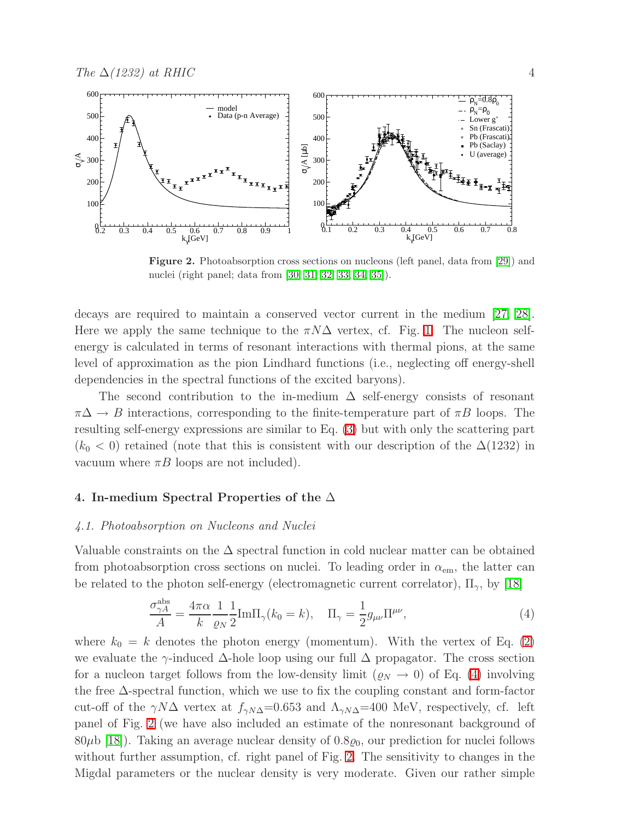

<span id="page-3-2"></span>Figure 2. Photoabsorption cross sections on nucleons (left panel, data from [\[29\]](#page-7-5)) and nuclei (right panel; data from [\[30,](#page-7-6) [31,](#page-7-7) [32,](#page-7-8) [33,](#page-7-9) [34,](#page-7-10) [35\]](#page-7-11)).

decays are required to maintain a conserved vector current in the medium [\[27,](#page-7-12) [28\]](#page-7-13). Here we apply the same technique to the  $\pi N\Delta$  vertex, cf. Fig. [1.](#page-2-2) The nucleon selfenergy is calculated in terms of resonant interactions with thermal pions, at the same level of approximation as the pion Lindhard functions (i.e., neglecting off energy-shell dependencies in the spectral functions of the excited baryons).

The second contribution to the in-medium  $\Delta$  self-energy consists of resonant  $\pi\Delta \rightarrow B$  interactions, corresponding to the finite-temperature part of  $\pi B$  loops. The resulting self-energy expressions are similar to Eq. [\(3\)](#page-2-1) but with only the scattering part  $(k_0 < 0)$  retained (note that this is consistent with our description of the  $\Delta(1232)$ ) in vacuum where  $\pi B$  loops are not included).

## <span id="page-3-0"></span>4. In-medium Spectral Properties of the  $\Delta$

# 4.1. Photoabsorption on Nucleons and Nuclei

<span id="page-3-1"></span>Valuable constraints on the  $\Delta$  spectral function in cold nuclear matter can be obtained from photoabsorption cross sections on nuclei. To leading order in  $\alpha_{em}$ , the latter can be related to the photon self-energy (electromagnetic current correlator),  $\Pi_{\gamma}$ , by [\[18\]](#page-6-17)

$$
\frac{\sigma_{\gamma A}^{\text{abs}}}{A} = \frac{4\pi\alpha}{k} \frac{1}{\varrho_N} \frac{1}{2} \text{Im}\Pi_{\gamma}(k_0 = k), \quad \Pi_{\gamma} = \frac{1}{2} g_{\mu\nu} \Pi^{\mu\nu}, \tag{4}
$$

where  $k_0 = k$  denotes the photon energy (momentum). With the vertex of Eq. [\(2\)](#page-2-3) we evaluate the  $\gamma$ -induced  $\Delta$ -hole loop using our full  $\Delta$  propagator. The cross section for a nucleon target follows from the low-density limit  $(\varrho_N \to 0)$  of Eq. [\(4\)](#page-3-1) involving the free ∆-spectral function, which we use to fix the coupling constant and form-factor cut-off of the  $\gamma N\Delta$  vertex at  $f_{\gamma N\Delta}$ =0.653 and  $\Lambda_{\gamma N\Delta}$ =400 MeV, respectively, cf. left panel of Fig. [2](#page-3-2) (we have also included an estimate of the nonresonant background of  $80\mu b$  [\[18\]](#page-6-17)). Taking an average nuclear density of  $0.8\varrho_0$ , our prediction for nuclei follows without further assumption, cf. right panel of Fig. [2.](#page-3-2) The sensitivity to changes in the Migdal parameters or the nuclear density is very moderate. Given our rather simple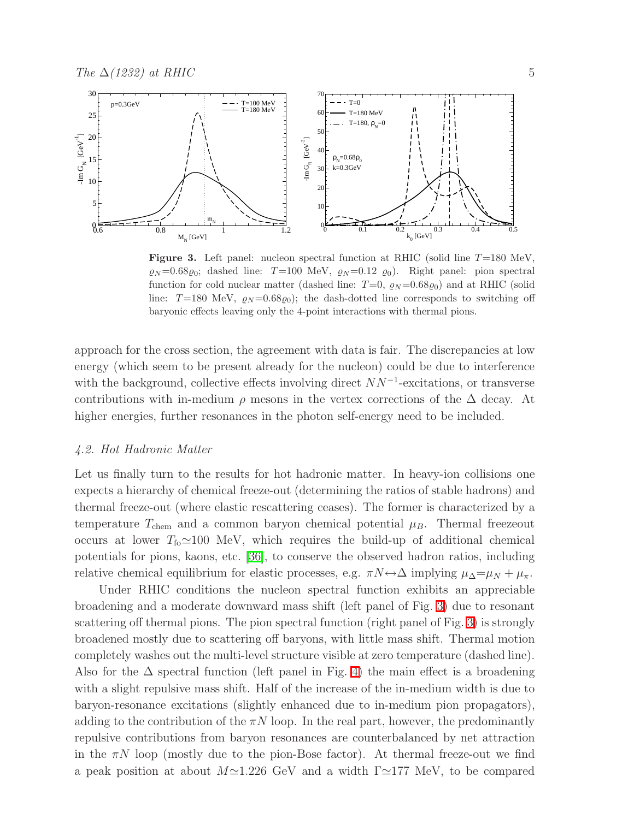

<span id="page-4-0"></span>**Figure 3.** Left panel: nucleon spectral function at RHIC (solid line  $T=180$  MeV,  $\varrho_N=0.68\varrho_0$ ; dashed line: T=100 MeV,  $\varrho_N=0.12\varrho_0$ ). Right panel: pion spectral function for cold nuclear matter (dashed line:  $T=0$ ,  $\varrho_N=0.68\varrho_0$ ) and at RHIC (solid line:  $T=180$  MeV,  $\varrho_N=0.68\varrho_0$ ; the dash-dotted line corresponds to switching off baryonic effects leaving only the 4-point interactions with thermal pions.

approach for the cross section, the agreement with data is fair. The discrepancies at low energy (which seem to be present already for the nucleon) could be due to interference with the background, collective effects involving direct  $NN^{-1}$ -excitations, or transverse contributions with in-medium  $\rho$  mesons in the vertex corrections of the  $\Delta$  decay. At higher energies, further resonances in the photon self-energy need to be included.

## 4.2. Hot Hadronic Matter

Let us finally turn to the results for hot hadronic matter. In heavy-ion collisions one expects a hierarchy of chemical freeze-out (determining the ratios of stable hadrons) and thermal freeze-out (where elastic rescattering ceases). The former is characterized by a temperature  $T_{\text{chem}}$  and a common baryon chemical potential  $\mu_B$ . Thermal freezeout occurs at lower  $T_{f_0} \approx 100$  MeV, which requires the build-up of additional chemical potentials for pions, kaons, etc. [\[36\]](#page-7-14), to conserve the observed hadron ratios, including relative chemical equilibrium for elastic processes, e.g.  $\pi N \leftrightarrow \Delta$  implying  $\mu_{\Delta} = \mu_N + \mu_{\pi}$ .

Under RHIC conditions the nucleon spectral function exhibits an appreciable broadening and a moderate downward mass shift (left panel of Fig. [3\)](#page-4-0) due to resonant scattering off thermal pions. The pion spectral function (right panel of Fig. [3\)](#page-4-0) is strongly broadened mostly due to scattering off baryons, with little mass shift. Thermal motion completely washes out the multi-level structure visible at zero temperature (dashed line). Also for the  $\Delta$  spectral function (left panel in Fig. [4\)](#page-5-0) the main effect is a broadening with a slight repulsive mass shift. Half of the increase of the in-medium width is due to baryon-resonance excitations (slightly enhanced due to in-medium pion propagators), adding to the contribution of the  $\pi N$  loop. In the real part, however, the predominantly repulsive contributions from baryon resonances are counterbalanced by net attraction in the  $\pi N$  loop (mostly due to the pion-Bose factor). At thermal freeze-out we find a peak position at about  $M\simeq 1.226$  GeV and a width  $\Gamma \simeq 177$  MeV, to be compared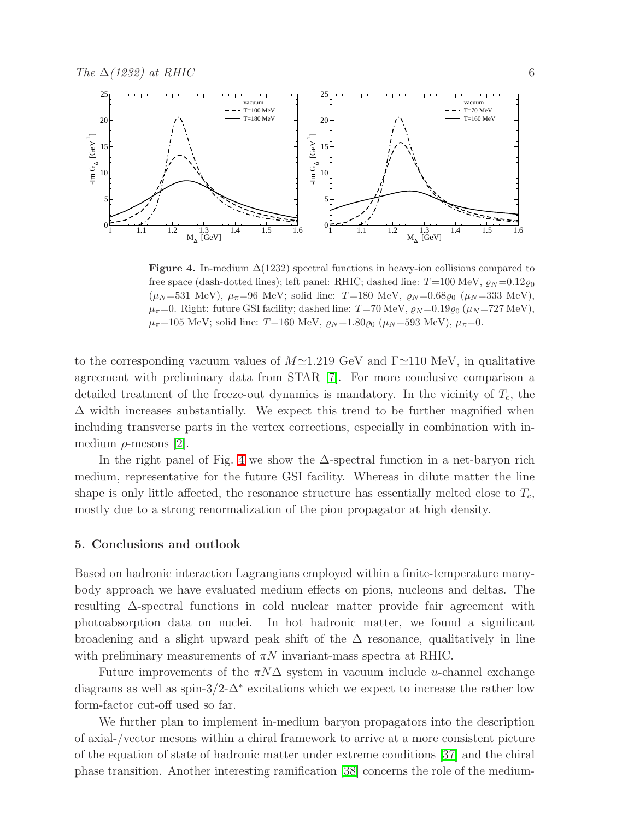

<span id="page-5-0"></span>**Figure 4.** In-medium  $\Delta(1232)$  spectral functions in heavy-ion collisions compared to free space (dash-dotted lines); left panel: RHIC; dashed line:  $T=100 \text{ MeV}, \, \rho_N=0.12 \rho_0$  $(\mu_N = 531 \text{ MeV})$ ,  $\mu_{\pi} = 96 \text{ MeV}$ ; solid line: T=180 MeV,  $\varrho_N = 0.68 \varrho_0$  ( $\mu_N = 333 \text{ MeV}$ ),  $\mu_{\pi}=0$ . Right: future GSI facility; dashed line: T=70 MeV,  $\varrho_N=0.19\varrho_0$  ( $\mu_N=727$  MeV),  $\mu_{\pi}$ =105 MeV; solid line: T=160 MeV,  $\varrho_N$ =1.80 $\varrho_0$  ( $\mu_N$ =593 MeV),  $\mu_{\pi}$ =0.

to the corresponding vacuum values of  $M \approx 1.219$  GeV and  $\Gamma \approx 110$  MeV, in qualitative agreement with preliminary data from STAR [\[7\]](#page-6-6). For more conclusive comparison a detailed treatment of the freeze-out dynamics is mandatory. In the vicinity of  $T_c$ , the  $\Delta$  width increases substantially. We expect this trend to be further magnified when including transverse parts in the vertex corrections, especially in combination with inmedium  $\rho$ -mesons [\[2\]](#page-6-1).

In the right panel of Fig. [4](#page-5-0) we show the  $\Delta$ -spectral function in a net-baryon rich medium, representative for the future GSI facility. Whereas in dilute matter the line shape is only little affected, the resonance structure has essentially melted close to  $T_c$ , mostly due to a strong renormalization of the pion propagator at high density.

#### 5. Conclusions and outlook

Based on hadronic interaction Lagrangians employed within a finite-temperature manybody approach we have evaluated medium effects on pions, nucleons and deltas. The resulting ∆-spectral functions in cold nuclear matter provide fair agreement with photoabsorption data on nuclei. In hot hadronic matter, we found a significant broadening and a slight upward peak shift of the  $\Delta$  resonance, qualitatively in line with preliminary measurements of  $\pi N$  invariant-mass spectra at RHIC.

Future improvements of the  $\pi N\Delta$  system in vacuum include u-channel exchange diagrams as well as spin-3/2- $\Delta^*$  excitations which we expect to increase the rather low form-factor cut-off used so far.

We further plan to implement in-medium baryon propagators into the description of axial-/vector mesons within a chiral framework to arrive at a more consistent picture of the equation of state of hadronic matter under extreme conditions [\[37\]](#page-7-15) and the chiral phase transition. Another interesting ramification [\[38\]](#page-7-16) concerns the role of the medium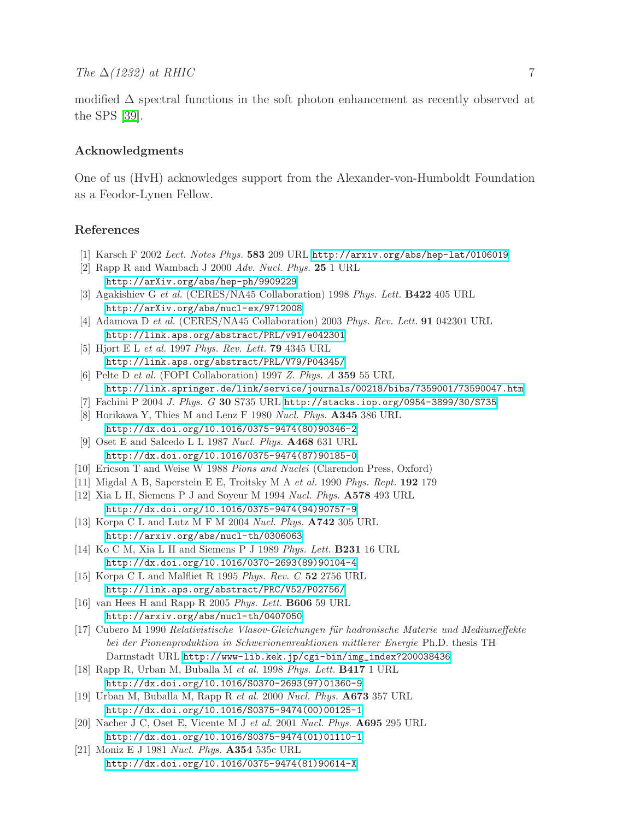modified  $\Delta$  spectral functions in the soft photon enhancement as recently observed at the SPS [\[39\]](#page-7-17).

# Acknowledgments

One of us (HvH) acknowledges support from the Alexander-von-Humboldt Foundation as a Feodor-Lynen Fellow.

## <span id="page-6-1"></span><span id="page-6-0"></span>References

- [1] Karsch F 2002 Lect. Notes Phys. 583 209 URL <http://arxiv.org/abs/hep-lat/0106019>
- <span id="page-6-2"></span>[2] Rapp R and Wambach J 2000 Adv. Nucl. Phys. 25 1 URL <http://arXiv.org/abs/hep-ph/9909229>
- [3] Agakishiev G et al. (CERES/NA45 Collaboration) 1998 Phys. Lett. B422 405 URL <http://arXiv.org/abs/nucl-ex/9712008>
- <span id="page-6-4"></span><span id="page-6-3"></span>[4] Adamova D et al. (CERES/NA45 Collaboration) 2003 Phys. Rev. Lett. 91 042301 URL <http://link.aps.org/abstract/PRL/v91/e042301>
- <span id="page-6-5"></span>[5] Hjort E L et al. 1997 Phys. Rev. Lett. 79 4345 URL <http://link.aps.org/abstract/PRL/V79/P04345/>
- <span id="page-6-6"></span>[6] Pelte D et al. (FOPI Collaboration) 1997 Z. Phys. A 359 55 URL <http://link.springer.de/link/service/journals/00218/bibs/7359001/73590047.htm>
- <span id="page-6-7"></span>[7] Fachini P 2004 J. Phys. G 30 S735 URL <http://stacks.iop.org/0954-3899/30/S735>
- [8] Horikawa Y, Thies M and Lenz F 1980 Nucl. Phys. A345 386 URL [http://dx.doi.org/10.1016/0375-9474\(80\)90346-2](http://dx.doi.org/10.1016/0375-9474(80)90346-2)
- <span id="page-6-8"></span>[9] Oset E and Salcedo L L 1987 Nucl. Phys. A468 631 URL [http://dx.doi.org/10.1016/0375-9474\(87\)90185-0](http://dx.doi.org/10.1016/0375-9474(87)90185-0)
- <span id="page-6-10"></span><span id="page-6-9"></span>[10] Ericson T and Weise W 1988 Pions and Nuclei (Clarendon Press, Oxford)
- <span id="page-6-11"></span>[11] Migdal A B, Saperstein E E, Troitsky M A et al. 1990 Phys. Rept. 192 179
- [12] Xia L H, Siemens P J and Soyeur M 1994 Nucl. Phys. A578 493 URL [http://dx.doi.org/10.1016/0375-9474\(94\)90757-9](http://dx.doi.org/10.1016/0375-9474(94)90757-9)
- <span id="page-6-12"></span>[13] Korpa C L and Lutz M F M 2004 Nucl. Phys. **A742** 305 URL <http://arxiv.org/abs/nucl-th/0306063>
- <span id="page-6-13"></span>[14] Ko C M, Xia L H and Siemens P J 1989 Phys. Lett. **B231** 16 URL [http://dx.doi.org/10.1016/0370-2693\(89\)90104-4](http://dx.doi.org/10.1016/0370-2693(89)90104-4)
- <span id="page-6-15"></span><span id="page-6-14"></span>[15] Korpa C L and Malfliet R 1995 Phys. Rev. C 52 2756 URL <http://link.aps.org/abstract/PRC/V52/P02756/>
- [16] van Hees H and Rapp R 2005 Phys. Lett. B606 59 URL <http://arxiv.org/abs/nucl-th/0407050>
- <span id="page-6-16"></span>[17] Cubero M 1990 Relativistische Vlasov-Gleichungen für hadronische Materie und Mediumeffekte bei der Pionenproduktion in Schwerionenreaktionen mittlerer Energie Ph.D. thesis TH Darmstadt URL [http://www-lib.kek.jp/cgi-bin/img\\_index?200038436](http://www-lib.kek.jp/cgi-bin/img_index?200038436)
- <span id="page-6-17"></span>[18] Rapp R, Urban M, Buballa M et al. 1998 Phys. Lett. B417 1 URL [http://dx.doi.org/10.1016/S0370-2693\(97\)01360-9](http://dx.doi.org/10.1016/S0370-2693(97)01360-9)
- <span id="page-6-18"></span>[19] Urban M, Buballa M, Rapp R et al. 2000 Nucl. Phys. A673 357 URL [http://dx.doi.org/10.1016/S0375-9474\(00\)00125-1](http://dx.doi.org/10.1016/S0375-9474(00)00125-1)
- <span id="page-6-19"></span>[20] Nacher J C, Oset E, Vicente M J et al. 2001 Nucl. Phys. A695 295 URL [http://dx.doi.org/10.1016/S0375-9474\(01\)01110-1](http://dx.doi.org/10.1016/S0375-9474(01)01110-1)
- <span id="page-6-20"></span>[21] Moniz E J 1981 Nucl. Phys. A354 535c URL [http://dx.doi.org/10.1016/0375-9474\(81\)90614-X](http://dx.doi.org/10.1016/0375-9474(81)90614-X)